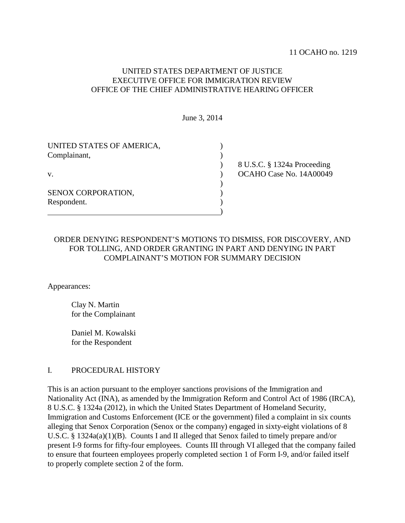# UNITED STATES DEPARTMENT OF JUSTICE EXECUTIVE OFFICE FOR IMMIGRATION REVIEW OFFICE OF THE CHIEF ADMINISTRATIVE HEARING OFFICER

June 3, 2014

| UNITED STATES OF AMERICA, |                             |
|---------------------------|-----------------------------|
| Complainant,              |                             |
|                           | 8 U.S.C. § 1324a Proceeding |
| V.                        | OCAHO Case No. 14A00049     |
|                           |                             |
| SENOX CORPORATION.        |                             |
| Respondent.               |                             |
|                           |                             |

# ORDER DENYING RESPONDENT'S MOTIONS TO DISMISS, FOR DISCOVERY, AND FOR TOLLING, AND ORDER GRANTING IN PART AND DENYING IN PART COMPLAINANT'S MOTION FOR SUMMARY DECISION

Appearances:

Clay N. Martin for the Complainant

Daniel M. Kowalski for the Respondent

## I. PROCEDURAL HISTORY

This is an action pursuant to the employer sanctions provisions of the Immigration and Nationality Act (INA), as amended by the Immigration Reform and Control Act of 1986 (IRCA), 8 U.S.C. § 1324a (2012), in which the United States Department of Homeland Security, Immigration and Customs Enforcement (ICE or the government) filed a complaint in six counts alleging that Senox Corporation (Senox or the company) engaged in sixty-eight violations of 8 U.S.C. § 1324a(a)(1)(B). Counts I and II alleged that Senox failed to timely prepare and/or present I-9 forms for fifty-four employees. Counts III through VI alleged that the company failed to ensure that fourteen employees properly completed section 1 of Form I-9, and/or failed itself to properly complete section 2 of the form.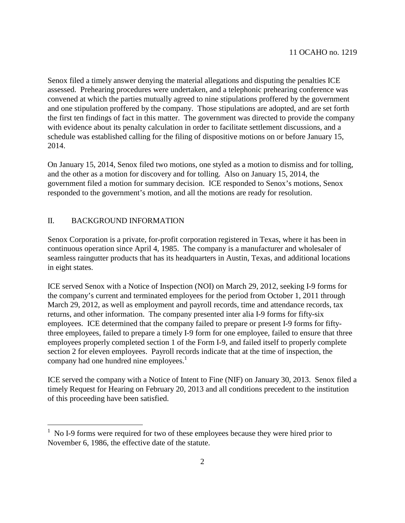Senox filed a timely answer denying the material allegations and disputing the penalties ICE assessed. Prehearing procedures were undertaken, and a telephonic prehearing conference was convened at which the parties mutually agreed to nine stipulations proffered by the government and one stipulation proffered by the company. Those stipulations are adopted, and are set forth the first ten findings of fact in this matter. The government was directed to provide the company with evidence about its penalty calculation in order to facilitate settlement discussions, and a schedule was established calling for the filing of dispositive motions on or before January 15, 2014.

On January 15, 2014, Senox filed two motions, one styled as a motion to dismiss and for tolling, and the other as a motion for discovery and for tolling. Also on January 15, 2014, the government filed a motion for summary decision. ICE responded to Senox's motions, Senox responded to the government's motion, and all the motions are ready for resolution.

## II. BACKGROUND INFORMATION

Senox Corporation is a private, for-profit corporation registered in Texas, where it has been in continuous operation since April 4, 1985. The company is a manufacturer and wholesaler of seamless raingutter products that has its headquarters in Austin, Texas, and additional locations in eight states.

ICE served Senox with a Notice of Inspection (NOI) on March 29, 2012, seeking I-9 forms for the company's current and terminated employees for the period from October 1, 2011 through March 29, 2012, as well as employment and payroll records, time and attendance records, tax returns, and other information. The company presented inter alia I-9 forms for fifty-six employees. ICE determined that the company failed to prepare or present I-9 forms for fiftythree employees, failed to prepare a timely I-9 form for one employee, failed to ensure that three employees properly completed section 1 of the Form I-9, and failed itself to properly complete section 2 for eleven employees. Payroll records indicate that at the time of inspection, the company had one hundred nine employees. $<sup>1</sup>$  $<sup>1</sup>$  $<sup>1</sup>$ </sup>

ICE served the company with a Notice of Intent to Fine (NIF) on January 30, 2013. Senox filed a timely Request for Hearing on February 20, 2013 and all conditions precedent to the institution of this proceeding have been satisfied.

<span id="page-1-0"></span><sup>1</sup> No I-9 forms were required for two of these employees because they were hired prior to November 6, 1986, the effective date of the statute.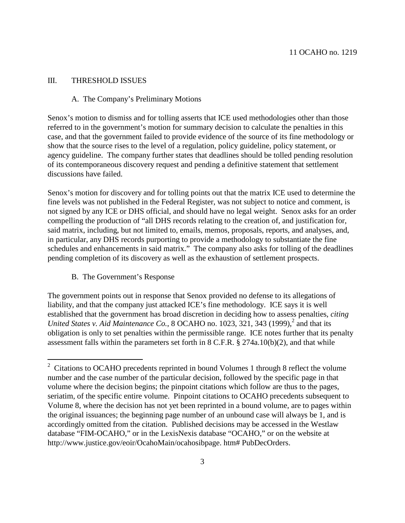## III. THRESHOLD ISSUES

#### A. The Company's Preliminary Motions

Senox's motion to dismiss and for tolling asserts that ICE used methodologies other than those referred to in the government's motion for summary decision to calculate the penalties in this case, and that the government failed to provide evidence of the source of its fine methodology or show that the source rises to the level of a regulation, policy guideline, policy statement, or agency guideline. The company further states that deadlines should be tolled pending resolution of its contemporaneous discovery request and pending a definitive statement that settlement discussions have failed.

Senox's motion for discovery and for tolling points out that the matrix ICE used to determine the fine levels was not published in the Federal Register, was not subject to notice and comment, is not signed by any ICE or DHS official, and should have no legal weight. Senox asks for an order compelling the production of "all DHS records relating to the creation of, and justification for, said matrix, including, but not limited to, emails, memos, proposals, reports, and analyses, and, in particular, any DHS records purporting to provide a methodology to substantiate the fine schedules and enhancements in said matrix." The company also asks for tolling of the deadlines pending completion of its discovery as well as the exhaustion of settlement prospects.

## B. The Government's Response

The government points out in response that Senox provided no defense to its allegations of liability, and that the company just attacked ICE's fine methodology. ICE says it is well established that the government has broad discretion in deciding how to assess penalties, *citing* United States v. Aid Maintenance Co., 8 OCAHO no. 10[2](#page-2-0)3, 321, 343  $(1999)$ , and that its obligation is only to set penalties within the permissible range. ICE notes further that its penalty assessment falls within the parameters set forth in 8 C.F.R. § 274a.10(b)(2), and that while

<span id="page-2-0"></span><sup>&</sup>lt;sup>2</sup> Citations to OCAHO precedents reprinted in bound Volumes 1 through 8 reflect the volume number and the case number of the particular decision, followed by the specific page in that volume where the decision begins; the pinpoint citations which follow are thus to the pages, seriatim, of the specific entire volume. Pinpoint citations to OCAHO precedents subsequent to Volume 8, where the decision has not yet been reprinted in a bound volume, are to pages within the original issuances; the beginning page number of an unbound case will always be 1, and is accordingly omitted from the citation. Published decisions may be accessed in the Westlaw database "FIM-OCAHO," or in the LexisNexis database "OCAHO," or on the website at http://www.justice.gov/eoir/OcahoMain/ocahosibpage. htm# PubDecOrders.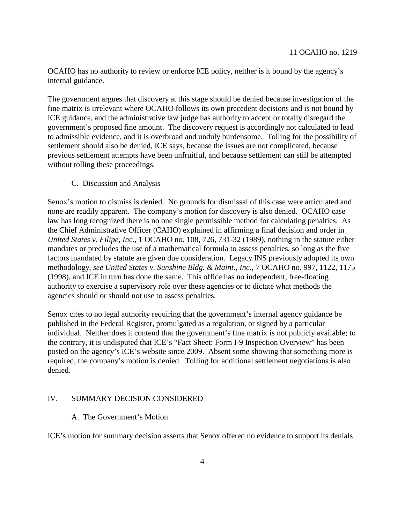OCAHO has no authority to review or enforce ICE policy, neither is it bound by the agency's internal guidance.

The government argues that discovery at this stage should be denied because investigation of the fine matrix is irrelevant where OCAHO follows its own precedent decisions and is not bound by ICE guidance, and the administrative law judge has authority to accept or totally disregard the government's proposed fine amount. The discovery request is accordingly not calculated to lead to admissible evidence, and it is overbroad and unduly burdensome. Tolling for the possibility of settlement should also be denied, ICE says, because the issues are not complicated, because previous settlement attempts have been unfruitful, and because settlement can still be attempted without tolling these proceedings.

#### C. Discussion and Analysis

Senox's motion to dismiss is denied. No grounds for dismissal of this case were articulated and none are readily apparent. The company's motion for discovery is also denied. OCAHO case law has long recognized there is no one single permissible method for calculating penalties. As the Chief Administrative Officer (CAHO) explained in affirming a final decision and order in *United States v. Filipe, Inc.*, 1 OCAHO no. 108, 726, 731-32 (1989), nothing in the statute either mandates or precludes the use of a mathematical formula to assess penalties, so long as the five factors mandated by statute are given due consideration. Legacy INS previously adopted its own methodology, *see United States v. Sunshine Bldg. & Maint., Inc.*, 7 OCAHO no. 997, 1122, 1175 (1998), and ICE in turn has done the same. This office has no independent, free-floating authority to exercise a supervisory role over these agencies or to dictate what methods the agencies should or should not use to assess penalties.

Senox cites to no legal authority requiring that the government's internal agency guidance be published in the Federal Register, promulgated as a regulation, or signed by a particular individual. Neither does it contend that the government's fine matrix is not publicly available; to the contrary, it is undisputed that ICE's "Fact Sheet: Form I-9 Inspection Overview" has been posted on the agency's ICE's website since 2009. Absent some showing that something more is required, the company's motion is denied. Tolling for additional settlement negotiations is also denied.

#### IV. SUMMARY DECISION CONSIDERED

#### A. The Government's Motion

ICE's motion for summary decision asserts that Senox offered no evidence to support its denials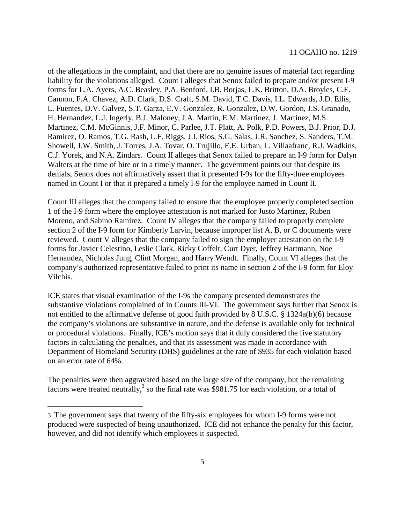of the allegations in the complaint, and that there are no genuine issues of material fact regarding liability for the violations alleged. Count I alleges that Senox failed to prepare and/or present I-9 forms for L.A. Ayers, A.C. Beasley, P.A. Benford, I.B. Borjas, L.K. Britton, D.A. Broyles, C.E. Cannon, F.A. Chavez, A.D. Clark, D.S. Craft, S.M. David, T.C. Davis, I.L. Edwards, J.D. Ellis, L. Fuentes, D.V. Galvez, S.T. Garza, E.V. Gonzalez, R. Gonzalez, D.W. Gordon, J.S. Granado, H. Hernandez, L.J. Ingerly, B.J. Maloney, J.A. Martin, E.M. Martinez, J. Martinez, M.S. Martinez, C.M. McGinnis, J.F. Minor, C. Parlee, J.T. Platt, A. Polk, P.D. Powers, B.J. Prior, D.J. Ramirez, O. Ramos, T.G. Rash, L.F. Riggs, J.I. Rios, S.G. Salas, J.R. Sanchez, S. Sanders, T.M. Showell, J.W. Smith, J. Torres, J.A. Tovar, O. Trujillo, E.E. Urban, L. Villaafranc, R.J. Wadkins, C.J. Yorek, and N.A. Zindars. Count II alleges that Senox failed to prepare an I-9 form for Dalyn Walters at the time of hire or in a timely manner. The government points out that despite its denials, Senox does not affirmatively assert that it presented I-9s for the fifty-three employees named in Count I or that it prepared a timely I-9 for the employee named in Count II.

Count III alleges that the company failed to ensure that the employee properly completed section 1 of the I-9 form where the employee attestation is not marked for Justo Martinez, Ruben Moreno, and Sabino Ramirez. Count IV alleges that the company failed to properly complete section 2 of the I-9 form for Kimberly Larvin, because improper list A, B, or C documents were reviewed. Count V alleges that the company failed to sign the employer attestation on the I-9 forms for Javier Celestino, Leslie Clark, Ricky Coffelt, Curt Dyer, Jeffrey Hartmann, Noe Hernandez, Nicholas Jung, Clint Morgan, and Harry Wendt. Finally, Count VI alleges that the company's authorized representative failed to print its name in section 2 of the I-9 form for Eloy Vilchis.

ICE states that visual examination of the I-9s the company presented demonstrates the substantive violations complained of in Counts III-VI. The government says further that Senox is not entitled to the affirmative defense of good faith provided by 8 U.S.C. § 1324a(b)(6) because the company's violations are substantive in nature, and the defense is available only for technical or procedural violations. Finally, ICE's motion says that it duly considered the five statutory factors in calculating the penalties, and that its assessment was made in accordance with Department of Homeland Security (DHS) guidelines at the rate of \$935 for each violation based on an error rate of 64%.

The penalties were then aggravated based on the large size of the company, but the remaining factors were treated neutrally,<sup>[3](#page-4-0)</sup> so the final rate was \$981.75 for each violation, or a total of

<span id="page-4-0"></span><sup>3</sup> The government says that twenty of the fifty-six employees for whom I-9 forms were not produced were suspected of being unauthorized. ICE did not enhance the penalty for this factor, however, and did not identify which employees it suspected.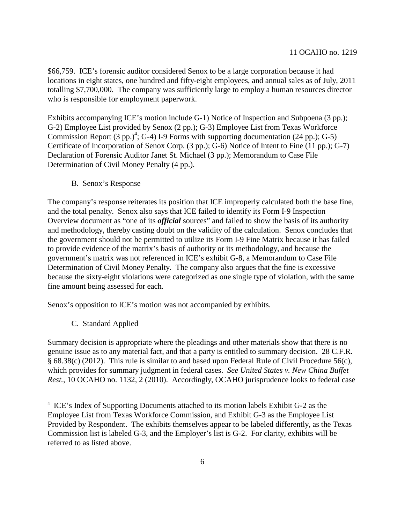\$66,759. ICE's forensic auditor considered Senox to be a large corporation because it had locations in eight states, one hundred and fifty-eight employees, and annual sales as of July, 2011 totalling \$7,700,000. The company was sufficiently large to employ a human resources director who is responsible for employment paperwork.

Exhibits accompanying ICE's motion include G-1) Notice of Inspection and Subpoena (3 pp.); G-2) Employee List provided by Senox (2 pp.); G-3) Employee List from Texas Workforce CommissionReport  $(3 pp.)^4$  $(3 pp.)^4$  $(3 pp.)^4$ ; G-4) I-9 Forms with supporting documentation (24 pp.); G-5) Certificate of Incorporation of Senox Corp. (3 pp.); G-6) Notice of Intent to Fine (11 pp.); G-7) Declaration of Forensic Auditor Janet St. Michael (3 pp.); Memorandum to Case File Determination of Civil Money Penalty (4 pp.).

B. Senox's Response

The company's response reiterates its position that ICE improperly calculated both the base fine, and the total penalty. Senox also says that ICE failed to identify its Form I-9 Inspection Overview document as "one of its *official* sources" and failed to show the basis of its authority and methodology, thereby casting doubt on the validity of the calculation. Senox concludes that the government should not be permitted to utilize its Form I-9 Fine Matrix because it has failed to provide evidence of the matrix's basis of authority or its methodology, and because the government's matrix was not referenced in ICE's exhibit G-8, a Memorandum to Case File Determination of Civil Money Penalty. The company also argues that the fine is excessive because the sixty-eight violations were categorized as one single type of violation, with the same fine amount being assessed for each.

Senox's opposition to ICE's motion was not accompanied by exhibits.

C. Standard Applied

Summary decision is appropriate where the pleadings and other materials show that there is no genuine issue as to any material fact, and that a party is entitled to summary decision. 28 C.F.R. § 68.38(c) (2012). This rule is similar to and based upon Federal Rule of Civil Procedure 56(c), which provides for summary judgment in federal cases. *See United States v. New China Buffet Rest.*, 10 OCAHO no. 1132, 2 (2010). Accordingly, OCAHO jurisprudence looks to federal case

<span id="page-5-0"></span><sup>4</sup> ICE's Index of Supporting Documents attached to its motion labels Exhibit G-2 as the Employee List from Texas Workforce Commission, and Exhibit G-3 as the Employee List Provided by Respondent. The exhibits themselves appear to be labeled differently, as the Texas Commission list is labeled G-3, and the Employer's list is G-2. For clarity, exhibits will be referred to as listed above.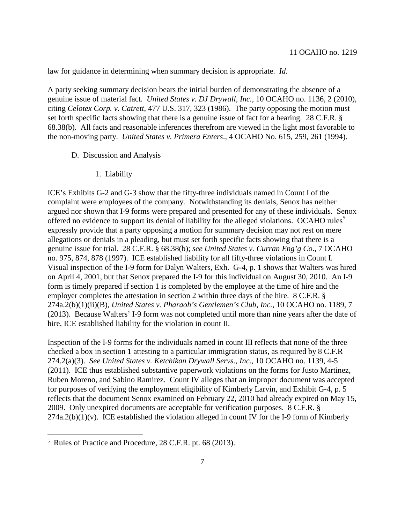law for guidance in determining when summary decision is appropriate. *Id*.

A party seeking summary decision bears the initial burden of demonstrating the absence of a genuine issue of material fact. *United States v. DJ Drywall, Inc.*, 10 OCAHO no. 1136, 2 (2010), citing *Celotex Corp. v. Catrett*, 477 U.S. 317, 323 (1986). The party opposing the motion must set forth specific facts showing that there is a genuine issue of fact for a hearing. 28 C.F.R. § 68.38(b). All facts and reasonable inferences therefrom are viewed in the light most favorable to the non-moving party. *United States v. Primera Enters*., 4 OCAHO No. 615, 259, 261 (1994).

- D. Discussion and Analysis
	- 1. Liability

ICE's Exhibits G-2 and G-3 show that the fifty-three individuals named in Count I of the complaint were employees of the company. Notwithstanding its denials, Senox has neither argued nor shown that I-9 forms were prepared and presented for any of these individuals. Senox offeredno evidence to [s](#page-6-0)upport its denial of liability for the alleged violations. OCAHO rules<sup>5</sup> expressly provide that a party opposing a motion for summary decision may not rest on mere allegations or denials in a pleading, but must set forth specific facts showing that there is a genuine issue for trial. 28 C.F.R. § 68.38(b); *see United States v. Curran Eng'g Co*., 7 OCAHO no. 975, 874, 878 (1997). ICE established liability for all fifty-three violations in Count I. Visual inspection of the I-9 form for Dalyn Walters, Exh. G-4, p. 1 shows that Walters was hired on April 4, 2001, but that Senox prepared the I-9 for this individual on August 30, 2010. An I-9 form is timely prepared if section 1 is completed by the employee at the time of hire and the employer completes the attestation in section 2 within three days of the hire. 8 C.F.R. § 274a.2(b)(1)(ii)(B), *United States v. Pharaoh's Gentlemen's Club, Inc.*, 10 OCAHO no. 1189, 7 (2013). Because Walters' I-9 form was not completed until more than nine years after the date of hire, ICE established liability for the violation in count II.

Inspection of the I-9 forms for the individuals named in count III reflects that none of the three checked a box in section 1 attesting to a particular immigration status, as required by 8 C.F.R 274.2(a)(3). *See United States v. Ketchikan Drywall Servs., Inc.*, 10 OCAHO no. 1139, 4-5 (2011). ICE thus established substantive paperwork violations on the forms for Justo Martinez, Ruben Moreno, and Sabino Ramirez. Count IV alleges that an improper document was accepted for purposes of verifying the employment eligibility of Kimberly Larvin, and Exhibit G-4, p. 5 reflects that the document Senox examined on February 22, 2010 had already expired on May 15, 2009. Only unexpired documents are acceptable for verification purposes. 8 C.F.R. §  $274a.2(b)(1)(v)$ . ICE established the violation alleged in count IV for the I-9 form of Kimberly

<span id="page-6-0"></span><sup>5</sup> Rules of Practice and Procedure, 28 C.F.R. pt. 68 (2013).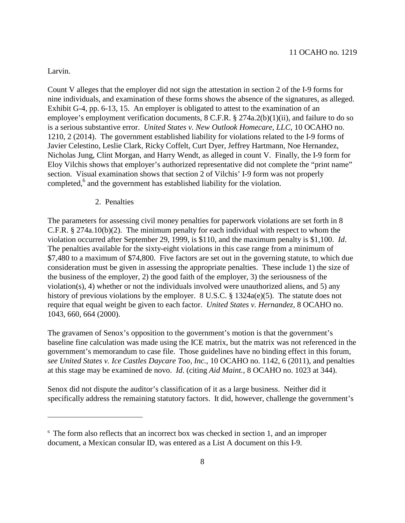Larvin.

Count V alleges that the employer did not sign the attestation in section 2 of the I-9 forms for nine individuals, and examination of these forms shows the absence of the signatures, as alleged. Exhibit G-4, pp. 6-13, 15. An employer is obligated to attest to the examination of an employee's employment verification documents, 8 C.F.R. § 274a.2(b)(1)(ii), and failure to do so is a serious substantive error. *United States v. New Outlook Homecare, LLC*, 10 OCAHO no. 1210, 2 (2014). The government established liability for violations related to the I-9 forms of Javier Celestino, Leslie Clark, Ricky Coffelt, Curt Dyer, Jeffrey Hartmann, Noe Hernandez, Nicholas Jung, Clint Morgan, and Harry Wendt, as alleged in count V. Finally, the I-9 form for Eloy Vilchis shows that employer's authorized representative did not complete the "print name" section. Visual examination shows that section 2 of Vilchis' I-9 form was not properly completed, $6$  and the government has established liability for the violation.

#### 2. Penalties

The parameters for assessing civil money penalties for paperwork violations are set forth in 8 C.F.R. § 274a.10(b)(2). The minimum penalty for each individual with respect to whom the violation occurred after September 29, 1999, is \$110, and the maximum penalty is \$1,100. *Id*. The penalties available for the sixty-eight violations in this case range from a minimum of \$7,480 to a maximum of \$74,800. Five factors are set out in the governing statute, to which due consideration must be given in assessing the appropriate penalties. These include 1) the size of the business of the employer, 2) the good faith of the employer, 3) the seriousness of the violation(s), 4) whether or not the individuals involved were unauthorized aliens, and 5) any history of previous violations by the employer. 8 U.S.C. § 1324a(e)(5). The statute does not require that equal weight be given to each factor. *United States v. Hernandez*, 8 OCAHO no. 1043, 660, 664 (2000).

The gravamen of Senox's opposition to the government's motion is that the government's baseline fine calculation was made using the ICE matrix, but the matrix was not referenced in the government's memorandum to case file. Those guidelines have no binding effect in this forum, *see United States v. Ice Castles Daycare Too, Inc.*, 10 OCAHO no. 1142, 6 (2011), and penalties at this stage may be examined de novo. *Id*. (citing *Aid Maint.*, 8 OCAHO no. 1023 at 344).

Senox did not dispute the auditor's classification of it as a large business. Neither did it specifically address the remaining statutory factors. It did, however, challenge the government's

<span id="page-7-0"></span><sup>6</sup> The form also reflects that an incorrect box was checked in section 1, and an improper document, a Mexican consular ID, was entered as a List A document on this I-9.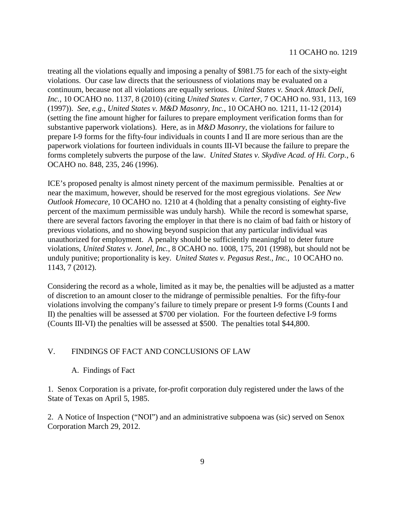treating all the violations equally and imposing a penalty of \$981.75 for each of the sixty-eight violations. Our case law directs that the seriousness of violations may be evaluated on a continuum, because not all violations are equally serious. *United States v. Snack Attack Deli, Inc.*, 10 OCAHO no. 1137, 8 (2010) (citing *United States v. Carter*, 7 OCAHO no. 931, 113, 169 (1997)). *See, e.g.*, *United States v. M&D Masonry, Inc.*, 10 OCAHO no. 1211, 11-12 (2014) (setting the fine amount higher for failures to prepare employment verification forms than for substantive paperwork violations). Here, as in *M&D Masonry*, the violations for failure to prepare I-9 forms for the fifty-four individuals in counts I and II are more serious than are the paperwork violations for fourteen individuals in counts III-VI because the failure to prepare the forms completely subverts the purpose of the law. *United States v. Skydive Acad. of Hi. Corp.*, 6 OCAHO no. 848, 235, 246 (1996).

ICE's proposed penalty is almost ninety percent of the maximum permissible. Penalties at or near the maximum, however, should be reserved for the most egregious violations. *See New Outlook Homecare,* 10 OCAHO no. 1210 at 4 (holding that a penalty consisting of eighty-five percent of the maximum permissible was unduly harsh). While the record is somewhat sparse, there are several factors favoring the employer in that there is no claim of bad faith or history of previous violations, and no showing beyond suspicion that any particular individual was unauthorized for employment. A penalty should be sufficiently meaningful to deter future violations, *United States v. Jonel, Inc.*, 8 OCAHO no. 1008, 175, 201 (1998), but should not be unduly punitive; proportionality is key. *United States v. Pegasus Rest., Inc.*, 10 OCAHO no. 1143, 7 (2012).

Considering the record as a whole, limited as it may be, the penalties will be adjusted as a matter of discretion to an amount closer to the midrange of permissible penalties. For the fifty-four violations involving the company's failure to timely prepare or present I-9 forms (Counts I and II) the penalties will be assessed at \$700 per violation. For the fourteen defective I-9 forms (Counts III-VI) the penalties will be assessed at \$500. The penalties total \$44,800.

## V. FINDINGS OF FACT AND CONCLUSIONS OF LAW

## A. Findings of Fact

1. Senox Corporation is a private, for-profit corporation duly registered under the laws of the State of Texas on April 5, 1985.

2. A Notice of Inspection ("NOI") and an administrative subpoena was (sic) served on Senox Corporation March 29, 2012.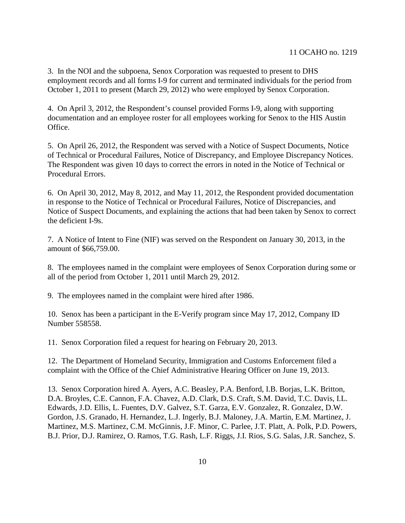3. In the NOI and the subpoena, Senox Corporation was requested to present to DHS employment records and all forms I-9 for current and terminated individuals for the period from October 1, 2011 to present (March 29, 2012) who were employed by Senox Corporation.

4. On April 3, 2012, the Respondent's counsel provided Forms I-9, along with supporting documentation and an employee roster for all employees working for Senox to the HIS Austin Office.

5. On April 26, 2012, the Respondent was served with a Notice of Suspect Documents, Notice of Technical or Procedural Failures, Notice of Discrepancy, and Employee Discrepancy Notices. The Respondent was given 10 days to correct the errors in noted in the Notice of Technical or Procedural Errors.

6. On April 30, 2012, May 8, 2012, and May 11, 2012, the Respondent provided documentation in response to the Notice of Technical or Procedural Failures, Notice of Discrepancies, and Notice of Suspect Documents, and explaining the actions that had been taken by Senox to correct the deficient I-9s.

7. A Notice of Intent to Fine (NIF) was served on the Respondent on January 30, 2013, in the amount of \$66,759.00.

8. The employees named in the complaint were employees of Senox Corporation during some or all of the period from October 1, 2011 until March 29, 2012.

9. The employees named in the complaint were hired after 1986.

10. Senox has been a participant in the E-Verify program since May 17, 2012, Company ID Number 558558.

11. Senox Corporation filed a request for hearing on February 20, 2013.

12. The Department of Homeland Security, Immigration and Customs Enforcement filed a complaint with the Office of the Chief Administrative Hearing Officer on June 19, 2013.

13. Senox Corporation hired A. Ayers, A.C. Beasley, P.A. Benford, I.B. Borjas, L.K. Britton, D.A. Broyles, C.E. Cannon, F.A. Chavez, A.D. Clark, D.S. Craft, S.M. David, T.C. Davis, I.L. Edwards, J.D. Ellis, L. Fuentes, D.V. Galvez, S.T. Garza, E.V. Gonzalez, R. Gonzalez, D.W. Gordon, J.S. Granado, H. Hernandez, L.J. Ingerly, B.J. Maloney, J.A. Martin, E.M. Martinez, J. Martinez, M.S. Martinez, C.M. McGinnis, J.F. Minor, C. Parlee, J.T. Platt, A. Polk, P.D. Powers, B.J. Prior, D.J. Ramirez, O. Ramos, T.G. Rash, L.F. Riggs, J.I. Rios, S.G. Salas, J.R. Sanchez, S.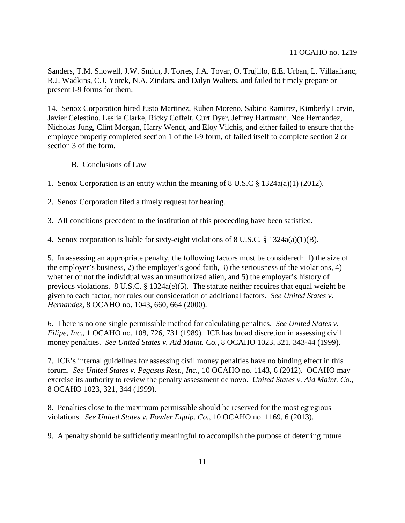Sanders, T.M. Showell, J.W. Smith, J. Torres, J.A. Tovar, O. Trujillo, E.E. Urban, L. Villaafranc, R.J. Wadkins, C.J. Yorek, N.A. Zindars, and Dalyn Walters, and failed to timely prepare or present I-9 forms for them.

14. Senox Corporation hired Justo Martinez, Ruben Moreno, Sabino Ramirez, Kimberly Larvin, Javier Celestino, Leslie Clarke, Ricky Coffelt, Curt Dyer, Jeffrey Hartmann, Noe Hernandez, Nicholas Jung, Clint Morgan, Harry Wendt, and Eloy Vilchis, and either failed to ensure that the employee properly completed section 1 of the I-9 form, of failed itself to complete section 2 or section 3 of the form.

- B. Conclusions of Law
- 1. Senox Corporation is an entity within the meaning of 8 U.S.C § 1324a(a)(1) (2012).
- 2. Senox Corporation filed a timely request for hearing.
- 3. All conditions precedent to the institution of this proceeding have been satisfied.
- 4. Senox corporation is liable for sixty-eight violations of 8 U.S.C. § 1324a(a)(1)(B).

5. In assessing an appropriate penalty, the following factors must be considered: 1) the size of the employer's business, 2) the employer's good faith, 3) the seriousness of the violations, 4) whether or not the individual was an unauthorized alien, and 5) the employer's history of previous violations. 8 U.S.C. § 1324a(e)(5). The statute neither requires that equal weight be given to each factor, nor rules out consideration of additional factors. *See United States v. Hernandez*, 8 OCAHO no. 1043, 660, 664 (2000).

6. There is no one single permissible method for calculating penalties. *See United States v. Filipe, Inc.*, 1 OCAHO no. 108, 726, 731 (1989). ICE has broad discretion in assessing civil money penalties. *See United States v. Aid Maint. Co.*, 8 OCAHO 1023, 321, 343-44 (1999).

7. ICE's internal guidelines for assessing civil money penalties have no binding effect in this forum. *See United States v. Pegasus Rest., Inc.*, 10 OCAHO no. 1143, 6 (2012). OCAHO may exercise its authority to review the penalty assessment de novo. *United States v. Aid Maint. Co.*, 8 OCAHO 1023, 321, 344 (1999).

8. Penalties close to the maximum permissible should be reserved for the most egregious violations. *See United States v. Fowler Equip. Co.*, 10 OCAHO no. 1169, 6 (2013).

9. A penalty should be sufficiently meaningful to accomplish the purpose of deterring future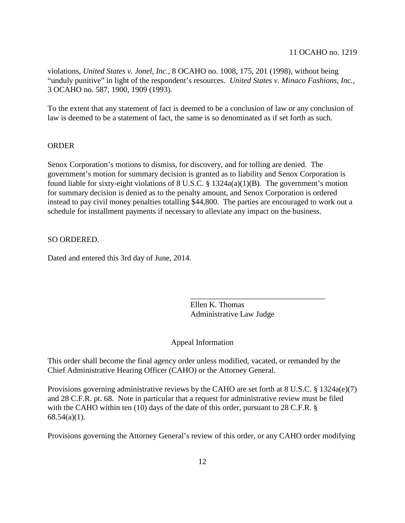violations, *United States v. Jonel, Inc.*, 8 OCAHO no. 1008, 175, 201 (1998), without being "unduly punitive" in light of the respondent's resources. *United States v. Minaco Fashions, Inc.*, 3 OCAHO no. 587, 1900, 1909 (1993).

To the extent that any statement of fact is deemed to be a conclusion of law or any conclusion of law is deemed to be a statement of fact, the same is so denominated as if set forth as such.

## ORDER

Senox Corporation's motions to dismiss, for discovery, and for tolling are denied. The government's motion for summary decision is granted as to liability and Senox Corporation is found liable for sixty-eight violations of  $8 \text{ U.S.C. } §$  1324a(a)(1)(B). The government's motion for summary decision is denied as to the penalty amount, and Senox Corporation is ordered instead to pay civil money penalties totalling \$44,800. The parties are encouraged to work out a schedule for installment payments if necessary to alleviate any impact on the business.

## SO ORDERED.

Dated and entered this 3rd day of June, 2014.

Ellen K. Thomas Administrative Law Judge

\_\_\_\_\_\_\_\_\_\_\_\_\_\_\_\_\_\_\_\_\_\_\_\_\_\_\_\_\_\_\_\_\_\_

## Appeal Information

This order shall become the final agency order unless modified, vacated, or remanded by the Chief Administrative Hearing Officer (CAHO) or the Attorney General.

Provisions governing administrative reviews by the CAHO are set forth at 8 U.S.C. § 1324a(e)(7) and 28 C.F.R. pt. 68. Note in particular that a request for administrative review must be filed with the CAHO within ten (10) days of the date of this order, pursuant to 28 C.F.R. §  $68.54(a)(1)$ .

Provisions governing the Attorney General's review of this order, or any CAHO order modifying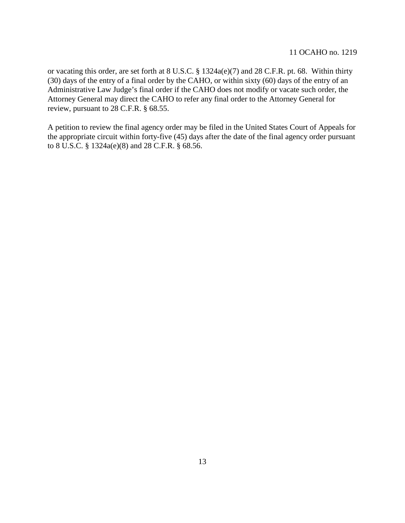or vacating this order, are set forth at 8 U.S.C. § 1324a(e)(7) and 28 C.F.R. pt. 68. Within thirty (30) days of the entry of a final order by the CAHO, or within sixty (60) days of the entry of an Administrative Law Judge's final order if the CAHO does not modify or vacate such order, the Attorney General may direct the CAHO to refer any final order to the Attorney General for review, pursuant to 28 C.F.R. § 68.55.

A petition to review the final agency order may be filed in the United States Court of Appeals for the appropriate circuit within forty-five (45) days after the date of the final agency order pursuant to 8 U.S.C. § 1324a(e)(8) and 28 C.F.R. § 68.56.